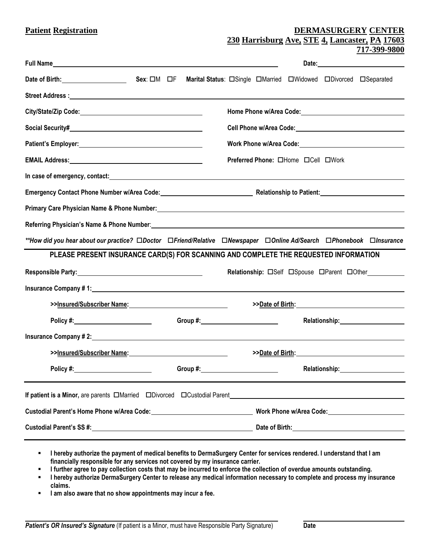| <b>Patient Registration</b>                                                                                                                                                                                                      | DERMASURGERY CENTER                                                                                                  |
|----------------------------------------------------------------------------------------------------------------------------------------------------------------------------------------------------------------------------------|----------------------------------------------------------------------------------------------------------------------|
|                                                                                                                                                                                                                                  | 230 Harrisburg Ave, STE 4, Lancaster, PA 17603<br>717-399-9800                                                       |
| <b>Full Name Example 2020 Contract Contract Contract Contract Contract Contract Contract Contract Contract Contract Contract Contract Contract Contract Contract Contract Contract Contract Contract Contract Contract Contr</b> |                                                                                                                      |
| Date of Birth: Sex: OM OF                                                                                                                                                                                                        |                                                                                                                      |
|                                                                                                                                                                                                                                  |                                                                                                                      |
|                                                                                                                                                                                                                                  |                                                                                                                      |
|                                                                                                                                                                                                                                  |                                                                                                                      |
|                                                                                                                                                                                                                                  |                                                                                                                      |
|                                                                                                                                                                                                                                  | Preferred Phone: OHome OCell OWork                                                                                   |
|                                                                                                                                                                                                                                  |                                                                                                                      |
|                                                                                                                                                                                                                                  |                                                                                                                      |
|                                                                                                                                                                                                                                  |                                                                                                                      |
|                                                                                                                                                                                                                                  |                                                                                                                      |
|                                                                                                                                                                                                                                  |                                                                                                                      |
|                                                                                                                                                                                                                                  | **How did you hear about our practice? □Doctor □Friend/Relative □Newspaper □Online Ad/Search □Phonebook □Insurance   |
| PLEASE PRESENT INSURANCE CARD(S) FOR SCANNING AND COMPLETE THE REQUESTED INFORMATION                                                                                                                                             |                                                                                                                      |
|                                                                                                                                                                                                                                  | Relationship: CSelf CSpouse CParent COther                                                                           |
|                                                                                                                                                                                                                                  |                                                                                                                      |
| >>Insured/Subscriber Name: Name:                                                                                                                                                                                                 | >>Date of Birth: Name of Birth Services and Services and Services and Services and Services and Services and S       |
| Policy #:_________________________                                                                                                                                                                                               |                                                                                                                      |
|                                                                                                                                                                                                                                  |                                                                                                                      |
|                                                                                                                                                                                                                                  | >>Date of Birth:                                                                                                     |
|                                                                                                                                                                                                                                  | Group #: Network and Service Services and Services and Services and Services and Services and Services and Services  |
| If patient is a Minor, are parents □Married □Divorced □Custodial Parent                                                                                                                                                          | <u> 1980 - Jan Samuel Barbara, margaret e populazion del control del control del control del control de la provi</u> |
| Custodial Parent's Home Phone w/Area Code: New York Custodial Parent's Home Phone w/Area Code:                                                                                                                                   | Work Phone w/Area Code: Market Market Market Market Market Market Market Market Market Market Market Market Ma       |

- **I hereby authorize the payment of medical benefits to DermaSurgery Center for services rendered. I understand that I am financially responsible for any services not covered by my insurance carrier.**
- **I further agree to pay collection costs that may be incurred to enforce the collection of overdue amounts outstanding.**
- **I hereby authorize DermaSurgery Center to release any medical information necessary to complete and process my insurance claims.**
- **I am also aware that no show appointments may incur a fee.**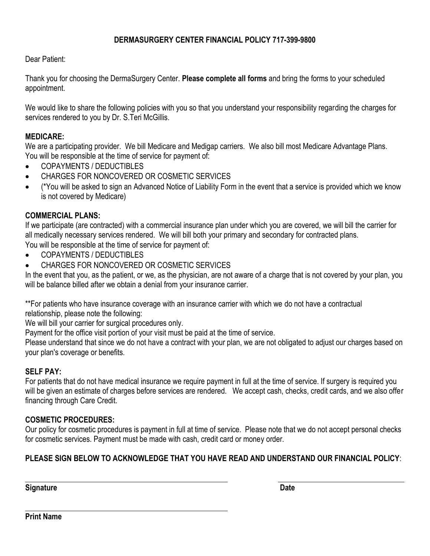## **DERMASURGERY CENTER FINANCIAL POLICY 717-399-9800**

Dear Patient:

Thank you for choosing the DermaSurgery Center. **Please complete all forms** and bring the forms to your scheduled appointment.

We would like to share the following policies with you so that you understand your responsibility regarding the charges for services rendered to you by Dr. S. Teri McGillis.

## **MEDICARE:**

We are a participating provider. We bill Medicare and Medigap carriers. We also bill most Medicare Advantage Plans. You will be responsible at the time of service for payment of:

- COPAYMENTS / DEDUCTIBLES
- CHARGES FOR NONCOVERED OR COSMETIC SERVICES
- (\*You will be asked to sign an Advanced Notice of Liability Form in the event that a service is provided which we know is not covered by Medicare)

## **COMMERCIAL PLANS:**

If we participate (are contracted) with a commercial insurance plan under which you are covered, we will bill the carrier for all medically necessary services rendered. We will bill both your primary and secondary for contracted plans. You will be responsible at the time of service for payment of:

- COPAYMENTS / DEDUCTIBLES
- CHARGES FOR NONCOVERED OR COSMETIC SERVICES

In the event that you, as the patient, or we, as the physician, are not aware of a charge that is not covered by your plan, you will be balance billed after we obtain a denial from your insurance carrier.

\*\*For patients who have insurance coverage with an insurance carrier with which we do not have a contractual relationship, please note the following:

We will bill your carrier for surgical procedures only.

Payment for the office visit portion of your visit must be paid at the time of service.

Please understand that since we do not have a contract with your plan, we are not obligated to adjust our charges based on your plan's coverage or benefits.

### **SELF PAY:**

For patients that do not have medical insurance we require payment in full at the time of service. If surgery is required you will be given an estimate of charges before services are rendered. We accept cash, checks, credit cards, and we also offer financing through Care Credit.

## **COSMETIC PROCEDURES:**

Our policy for cosmetic procedures is payment in full at time of service. Please note that we do not accept personal checks for cosmetic services. Payment must be made with cash, credit card or money order.

## **PLEASE SIGN BELOW TO ACKNOWLEDGE THAT YOU HAVE READ AND UNDERSTAND OUR FINANCIAL POLICY**:

**Signature Date**

**Print Name**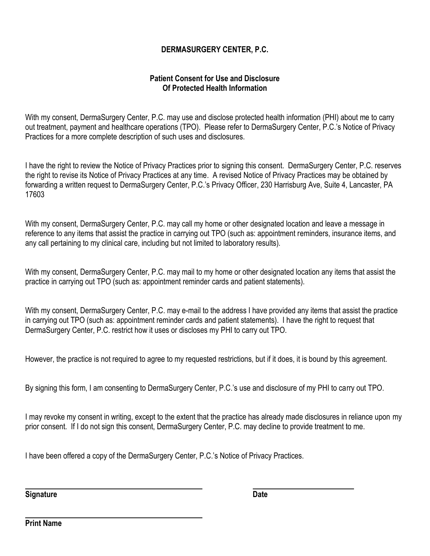## **DERMASURGERY CENTER, P.C.**

## **Patient Consent for Use and Disclosure Of Protected Health Information**

With my consent, DermaSurgery Center, P.C. may use and disclose protected health information (PHI) about me to carry out treatment, payment and healthcare operations (TPO). Please refer to DermaSurgery Center, P.C.'s Notice of Privacy Practices for a more complete description of such uses and disclosures.

I have the right to review the Notice of Privacy Practices prior to signing this consent. DermaSurgery Center, P.C. reserves the right to revise its Notice of Privacy Practices at any time. A revised Notice of Privacy Practices may be obtained by forwarding a written request to DermaSurgery Center, P.C.'s Privacy Officer, 230 Harrisburg Ave, Suite 4, Lancaster, PA 17603

With my consent, DermaSurgery Center, P.C. may call my home or other designated location and leave a message in reference to any items that assist the practice in carrying out TPO (such as: appointment reminders, insurance items, and any call pertaining to my clinical care, including but not limited to laboratory results).

With my consent, DermaSurgery Center, P.C. may mail to my home or other designated location any items that assist the practice in carrying out TPO (such as: appointment reminder cards and patient statements).

With my consent, DermaSurgery Center, P.C. may e-mail to the address I have provided any items that assist the practice in carrying out TPO (such as: appointment reminder cards and patient statements). I have the right to request that DermaSurgery Center, P.C. restrict how it uses or discloses my PHI to carry out TPO.

However, the practice is not required to agree to my requested restrictions, but if it does, it is bound by this agreement.

By signing this form, I am consenting to DermaSurgery Center, P.C.'s use and disclosure of my PHI to carry out TPO.

I may revoke my consent in writing, except to the extent that the practice has already made disclosures in reliance upon my prior consent. If I do not sign this consent, DermaSurgery Center, P.C. may decline to provide treatment to me.

I have been offered a copy of the DermaSurgery Center, P.C.'s Notice of Privacy Practices.

**Signature Date**

**Print Name**